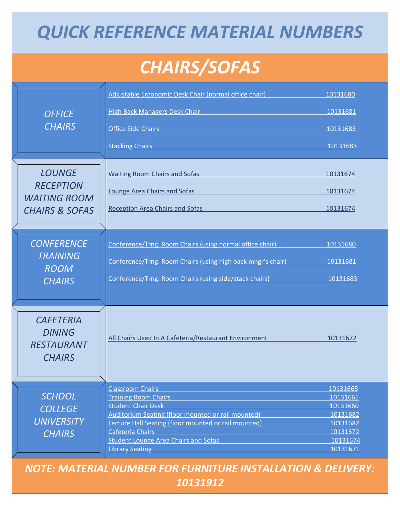## **QUICK REFERENCE MATERIAL NUMBERS**

## **CHAIRS/SOFAS**

| <b>OFFICE</b><br><b>CHAIRS</b>                                                        | Adjustable Ergonomic Desk Chair (normal office chair)<br>High Back Managers Desk Chair Manager and Chair Chair Chair Chair Chair Chair<br><b>Office Side Chairs</b><br><b>Stacking Chairs</b>                                                                                                  | 10131680<br>10131681<br>10131683<br>10131683                                                 |
|---------------------------------------------------------------------------------------|------------------------------------------------------------------------------------------------------------------------------------------------------------------------------------------------------------------------------------------------------------------------------------------------|----------------------------------------------------------------------------------------------|
| <b>LOUNGE</b><br><b>RECEPTION</b><br><b>WAITING ROOM</b><br><b>CHAIRS &amp; SOFAS</b> | <b>Waiting Room Chairs and Sofas</b><br>Lounge Area Chairs and Sofas<br><b>Reception Area Chairs and Sofas</b>                                                                                                                                                                                 | 10131674<br>10131674<br>10131674                                                             |
| <b>CONFERENCE</b><br><b>TRAINING</b><br><b>ROOM</b><br><b>CHAIRS</b>                  | Conference/Trng. Room Chairs (using normal office chair)<br>Conference/Trng. Room Chairs (using high back mngr's chair)<br>Conference/Trng. Room Chairs (using side/stack chairs)                                                                                                              | 10131680<br>10131681<br>10131683                                                             |
| <b>CAFETERIA</b><br><b>DINING</b><br><b>RESTAURANT</b><br><b>CHAIRS</b>               | All Chairs Used In A Cafeteria/Restaurant Environment                                                                                                                                                                                                                                          | 10131672                                                                                     |
| <b>SCHOOL</b><br><b>COLLEGE</b><br><b>UNIVERSITY</b><br><b>CHAIRS</b>                 | <b>Classroom Chairs</b><br><b>Training Room Chairs</b><br><b>Student Chair Desk</b><br>Auditorium Seating (floor mounted or rail mounted)<br>Lecture Hall Seating (floor mounted or rail mounted)<br>Cafeteria Chairs<br><b>Student Lounge Area Chairs and Sofas</b><br><b>Library Seating</b> | 10131665<br>10131665<br>10131660<br>10131682<br>10131682<br>10131672<br>10131674<br>10131671 |

*NOTE: MATERIAL NUMBER FOR FURNITURE INSTALLATION & DELIVERY: 10131912*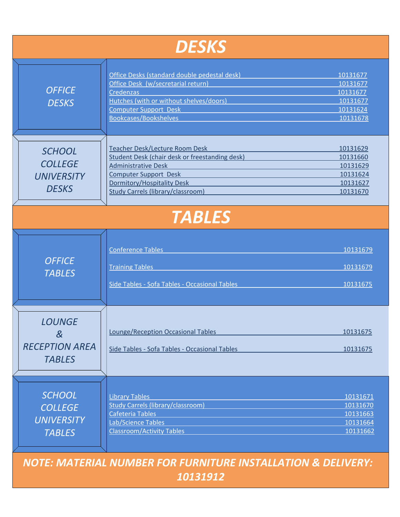| <b>DESKS</b>                                                          |                                                                                                                                                                                                                                 |                                                                      |  |  |
|-----------------------------------------------------------------------|---------------------------------------------------------------------------------------------------------------------------------------------------------------------------------------------------------------------------------|----------------------------------------------------------------------|--|--|
| <b>OFFICE</b><br><b>DESKS</b>                                         | Office Desks (standard double pedestal desk)<br>Office Desk (w/secretarial return)<br><b>Credenzas</b><br>Hutches (with or without shelves/doors)<br><b>Computer Support Desk</b><br>Bookcases/Bookshelves                      | 10131677<br>10131677<br>10131677<br>10131677<br>10131624<br>10131678 |  |  |
| <b>SCHOOL</b><br><b>COLLEGE</b><br><b>UNIVERSITY</b><br><b>DESKS</b>  | <b>Teacher Desk/Lecture Room Desk</b><br>Student Desk (chair desk or freestanding desk)<br><b>Administrative Desk</b><br><b>Computer Support Desk</b><br>Dormitory/Hospitality Desk<br><b>Study Carrels (library/classroom)</b> | 10131629<br>10131660<br>10131629<br>10131624<br>10131627<br>10131670 |  |  |
| <b>TABLES</b>                                                         |                                                                                                                                                                                                                                 |                                                                      |  |  |
| <b>OFFICE</b><br><b>TABLES</b>                                        | <b>Conference Tables</b><br><b>Training Tables</b><br>Side Tables - Sofa Tables - Occasional Tables                                                                                                                             | 10131679<br>10131679<br>10131675                                     |  |  |
| <b>LOUNGE</b><br>$\&$<br><b>RECEPTION AREA</b><br><b>TABLES</b>       | <b>Lounge/Reception Occasional Tables</b><br>Side Tables - Sofa Tables - Occasional Tables                                                                                                                                      | 10131675<br>10131675                                                 |  |  |
| <b>SCHOOL</b><br><b>COLLEGE</b><br><b>UNIVERSITY</b><br><b>TABLES</b> | <b>Library Tables</b><br><b>Study Carrels (library/classroom)</b><br>Cafeteria Tables<br>Lab/Science Tables<br><b>Classroom/Activity Tables</b>                                                                                 | 10131671<br>10131670<br>10131663<br>10131664<br>10131662             |  |  |

*NOTE: MATERIAL NUMBER FOR FURNITURE INSTALLATION & DELIVERY:* 

*10131912*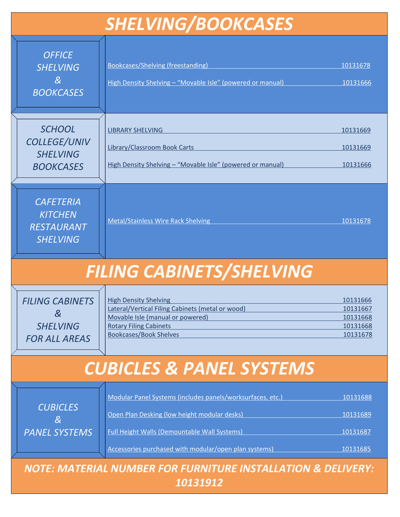| <b>SHELVING/BOOKCASES</b>                                                   |                                                                                                                                                                                                                            |                                                          |  |  |
|-----------------------------------------------------------------------------|----------------------------------------------------------------------------------------------------------------------------------------------------------------------------------------------------------------------------|----------------------------------------------------------|--|--|
| <b>OFFICE</b><br><b>SHELVING</b><br>$\&$<br><b>BOOKCASES</b>                | Bookcases/Shelving (freestanding)<br>High Density Shelving - "Movable Isle" (powered or manual)                                                                                                                            | 10131678<br>10131666                                     |  |  |
| <b>SCHOOL</b><br><b>COLLEGE/UNIV</b><br><b>SHELVING</b><br><b>BOOKCASES</b> | <b>LIBRARY SHELVING</b><br>Library/Classroom Book Carts<br>High Density Shelving - "Movable Isle" (powered or manual)                                                                                                      | 10131669<br>10131669<br>10131666                         |  |  |
| <b>CAFETERIA</b><br><b>KITCHEN</b><br><b>RESTAURANT</b><br><b>SHELVING</b>  | <b>Metal/Stainless Wire Rack Shelving</b>                                                                                                                                                                                  | 10131678                                                 |  |  |
| FILING CABINETS/SHELVING                                                    |                                                                                                                                                                                                                            |                                                          |  |  |
| <b>FILING CABINETS</b><br>$\&$<br><b>SHELVING</b><br><b>FOR ALL AREAS</b>   | <b>High Density Shelving</b><br>Lateral/Vertical Filing Cabinets (metal or wood)<br>Movable Isle (manual or powered)<br><b>Rotary Filing Cabinets</b><br><b>Bookcases/Book Shelves</b>                                     | 10131666<br>10131667<br>10131668<br>10131668<br>10131678 |  |  |
| <b>CUBICLES &amp; PANEL SYSTEMS</b>                                         |                                                                                                                                                                                                                            |                                                          |  |  |
| <b>CUBICLES</b><br>$\&$<br><b>PANEL SYSTEMS</b>                             | Modular Panel Systems (includes panels/worksurfaces, etc.)<br>Open Plan Desking (low height modular desks)<br><b>Full Height Walls (Demountable Wall Systems)</b><br>Accessories purchased with modular/open plan systems) | 10131688<br>10131689<br>10131687<br>10131685             |  |  |
| <b>NOTE: MATERIAL NUMBER FOR FURNITURE INSTALLATION &amp; DELIVERY:</b>     |                                                                                                                                                                                                                            |                                                          |  |  |

*10131912*